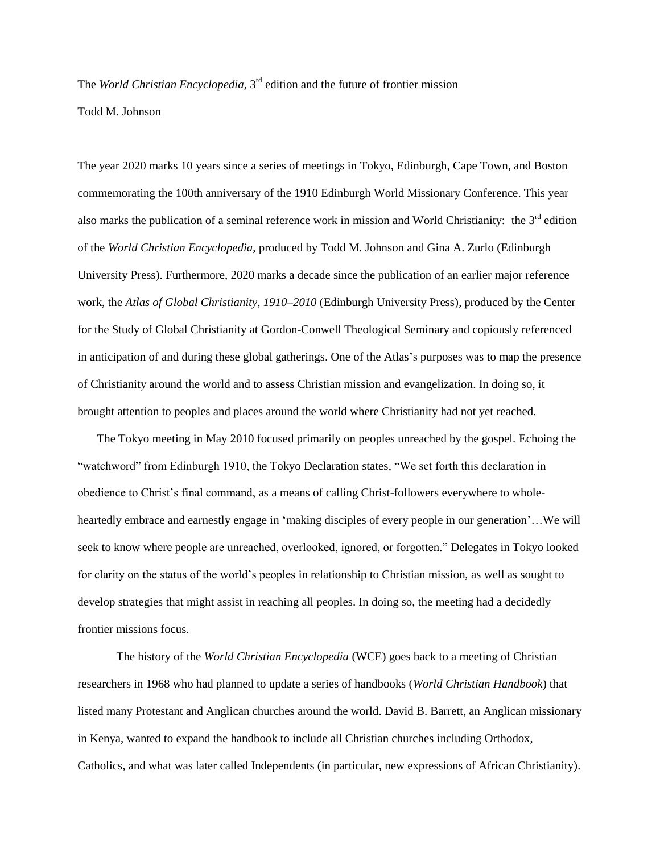The *World Christian Encyclopedia*, 3rd edition and the future of frontier mission

Todd M. Johnson

The year 2020 marks 10 years since a series of meetings in Tokyo, Edinburgh, Cape Town, and Boston commemorating the 100th anniversary of the 1910 Edinburgh World Missionary Conference. This year also marks the publication of a seminal reference work in mission and World Christianity: the  $3<sup>rd</sup>$  edition of the *World Christian Encyclopedia*, produced by Todd M. Johnson and Gina A. Zurlo (Edinburgh University Press). Furthermore, 2020 marks a decade since the publication of an earlier major reference work, the *Atlas of Global Christianity, 1910–2010* (Edinburgh University Press), produced by the Center for the Study of Global Christianity at Gordon-Conwell Theological Seminary and copiously referenced in anticipation of and during these global gatherings. One of the Atlas's purposes was to map the presence of Christianity around the world and to assess Christian mission and evangelization. In doing so, it brought attention to peoples and places around the world where Christianity had not yet reached.

The Tokyo meeting in May 2010 focused primarily on peoples unreached by the gospel. Echoing the "watchword" from Edinburgh 1910, the Tokyo Declaration states, "We set forth this declaration in obedience to Christ's final command, as a means of calling Christ-followers everywhere to wholeheartedly embrace and earnestly engage in 'making disciples of every people in our generation'...We will seek to know where people are unreached, overlooked, ignored, or forgotten." Delegates in Tokyo looked for clarity on the status of the world's peoples in relationship to Christian mission, as well as sought to develop strategies that might assist in reaching all peoples. In doing so, the meeting had a decidedly frontier missions focus.

The history of the *World Christian Encyclopedia* (WCE) goes back to a meeting of Christian researchers in 1968 who had planned to update a series of handbooks (*World Christian Handbook*) that listed many Protestant and Anglican churches around the world. David B. Barrett, an Anglican missionary in Kenya, wanted to expand the handbook to include all Christian churches including Orthodox, Catholics, and what was later called Independents (in particular, new expressions of African Christianity).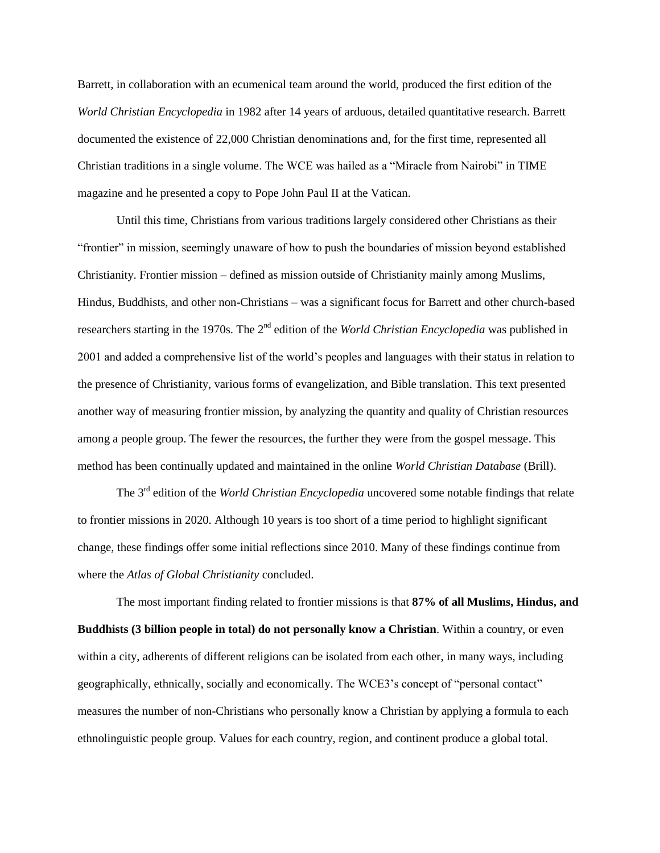Barrett, in collaboration with an ecumenical team around the world, produced the first edition of the *World Christian Encyclopedia* in 1982 after 14 years of arduous, detailed quantitative research. Barrett documented the existence of 22,000 Christian denominations and, for the first time, represented all Christian traditions in a single volume. The WCE was hailed as a "Miracle from Nairobi" in TIME magazine and he presented a copy to Pope John Paul II at the Vatican.

Until this time, Christians from various traditions largely considered other Christians as their "frontier" in mission, seemingly unaware of how to push the boundaries of mission beyond established Christianity. Frontier mission – defined as mission outside of Christianity mainly among Muslims, Hindus, Buddhists, and other non-Christians – was a significant focus for Barrett and other church-based researchers starting in the 1970s. The 2<sup>nd</sup> edition of the *World Christian Encyclopedia* was published in 2001 and added a comprehensive list of the world's peoples and languages with their status in relation to the presence of Christianity, various forms of evangelization, and Bible translation. This text presented another way of measuring frontier mission, by analyzing the quantity and quality of Christian resources among a people group. The fewer the resources, the further they were from the gospel message. This method has been continually updated and maintained in the online *World Christian Database* (Brill).

The 3rd edition of the *World Christian Encyclopedia* uncovered some notable findings that relate to frontier missions in 2020. Although 10 years is too short of a time period to highlight significant change, these findings offer some initial reflections since 2010. Many of these findings continue from where the *Atlas of Global Christianity* concluded.

The most important finding related to frontier missions is that **87% of all Muslims, Hindus, and Buddhists (3 billion people in total) do not personally know a Christian**. Within a country, or even within a city, adherents of different religions can be isolated from each other, in many ways, including geographically, ethnically, socially and economically. The WCE3's concept of "personal contact" measures the number of non-Christians who personally know a Christian by applying a formula to each ethnolinguistic people group. Values for each country, region, and continent produce a global total.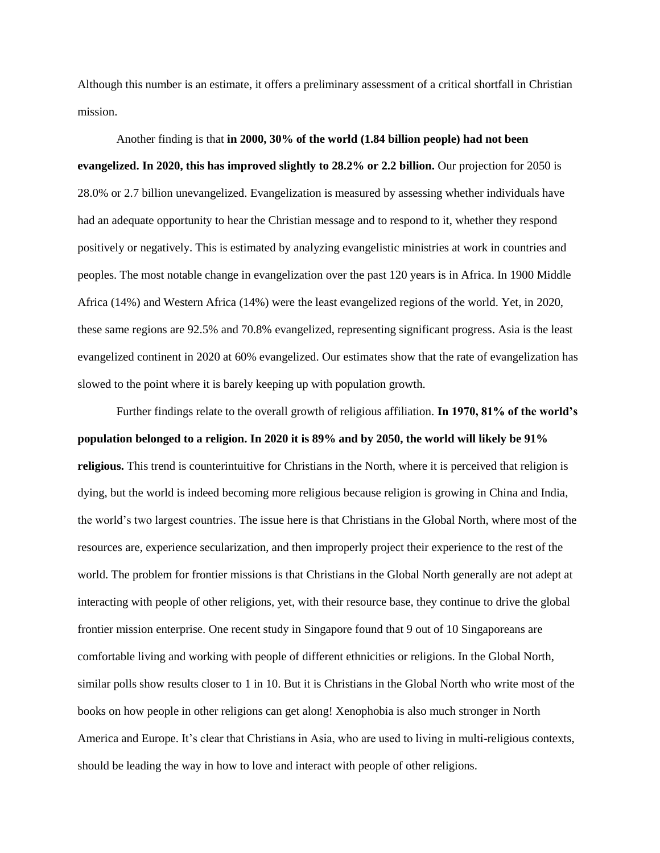Although this number is an estimate, it offers a preliminary assessment of a critical shortfall in Christian mission.

Another finding is that **in 2000, 30% of the world (1.84 billion people) had not been evangelized. In 2020, this has improved slightly to 28.2% or 2.2 billion.** Our projection for 2050 is 28.0% or 2.7 billion unevangelized. Evangelization is measured by assessing whether individuals have had an adequate opportunity to hear the Christian message and to respond to it, whether they respond positively or negatively. This is estimated by analyzing evangelistic ministries at work in countries and peoples. The most notable change in evangelization over the past 120 years is in Africa. In 1900 Middle Africa (14%) and Western Africa (14%) were the least evangelized regions of the world. Yet, in 2020, these same regions are 92.5% and 70.8% evangelized, representing significant progress. Asia is the least evangelized continent in 2020 at 60% evangelized. Our estimates show that the rate of evangelization has slowed to the point where it is barely keeping up with population growth.

Further findings relate to the overall growth of religious affiliation. **In 1970, 81% of the world's population belonged to a religion. In 2020 it is 89% and by 2050, the world will likely be 91% religious.** This trend is counterintuitive for Christians in the North, where it is perceived that religion is dying, but the world is indeed becoming more religious because religion is growing in China and India, the world's two largest countries. The issue here is that Christians in the Global North, where most of the resources are, experience secularization, and then improperly project their experience to the rest of the world. The problem for frontier missions is that Christians in the Global North generally are not adept at interacting with people of other religions, yet, with their resource base, they continue to drive the global frontier mission enterprise. One recent study in Singapore found that 9 out of 10 Singaporeans are comfortable living and working with people of different ethnicities or religions. In the Global North, similar polls show results closer to 1 in 10. But it is Christians in the Global North who write most of the books on how people in other religions can get along! Xenophobia is also much stronger in North America and Europe. It's clear that Christians in Asia, who are used to living in multi-religious contexts, should be leading the way in how to love and interact with people of other religions.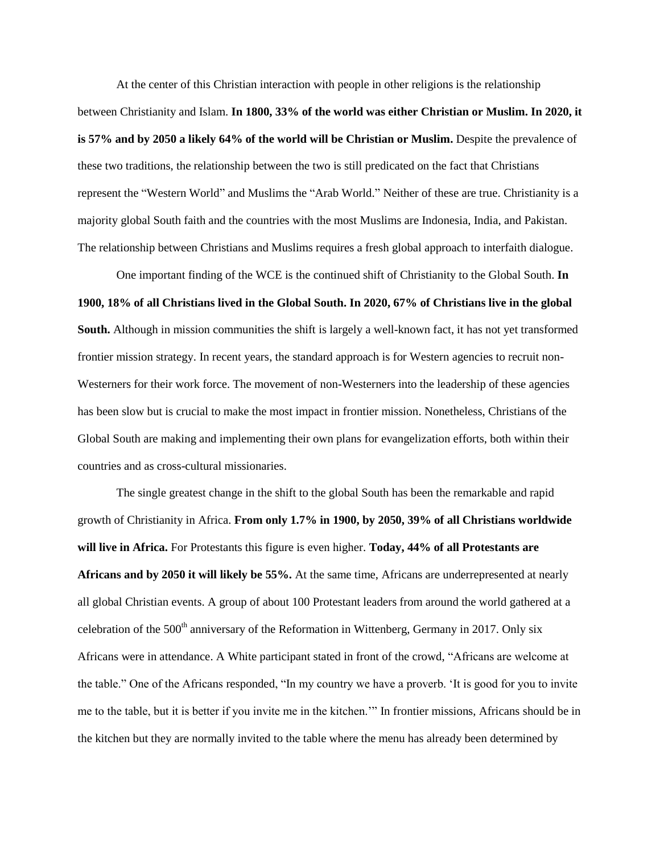At the center of this Christian interaction with people in other religions is the relationship between Christianity and Islam. **In 1800, 33% of the world was either Christian or Muslim. In 2020, it is 57% and by 2050 a likely 64% of the world will be Christian or Muslim.** Despite the prevalence of these two traditions, the relationship between the two is still predicated on the fact that Christians represent the "Western World" and Muslims the "Arab World." Neither of these are true. Christianity is a majority global South faith and the countries with the most Muslims are Indonesia, India, and Pakistan. The relationship between Christians and Muslims requires a fresh global approach to interfaith dialogue.

One important finding of the WCE is the continued shift of Christianity to the Global South. **In 1900, 18% of all Christians lived in the Global South. In 2020, 67% of Christians live in the global South.** Although in mission communities the shift is largely a well-known fact, it has not yet transformed frontier mission strategy. In recent years, the standard approach is for Western agencies to recruit non-Westerners for their work force. The movement of non-Westerners into the leadership of these agencies has been slow but is crucial to make the most impact in frontier mission. Nonetheless, Christians of the Global South are making and implementing their own plans for evangelization efforts, both within their countries and as cross-cultural missionaries.

The single greatest change in the shift to the global South has been the remarkable and rapid growth of Christianity in Africa. **From only 1.7% in 1900, by 2050, 39% of all Christians worldwide will live in Africa.** For Protestants this figure is even higher. **Today, 44% of all Protestants are Africans and by 2050 it will likely be 55%.** At the same time, Africans are underrepresented at nearly all global Christian events. A group of about 100 Protestant leaders from around the world gathered at a celebration of the  $500<sup>th</sup>$  anniversary of the Reformation in Wittenberg, Germany in 2017. Only six Africans were in attendance. A White participant stated in front of the crowd, "Africans are welcome at the table." One of the Africans responded, "In my country we have a proverb. 'It is good for you to invite me to the table, but it is better if you invite me in the kitchen.'" In frontier missions, Africans should be in the kitchen but they are normally invited to the table where the menu has already been determined by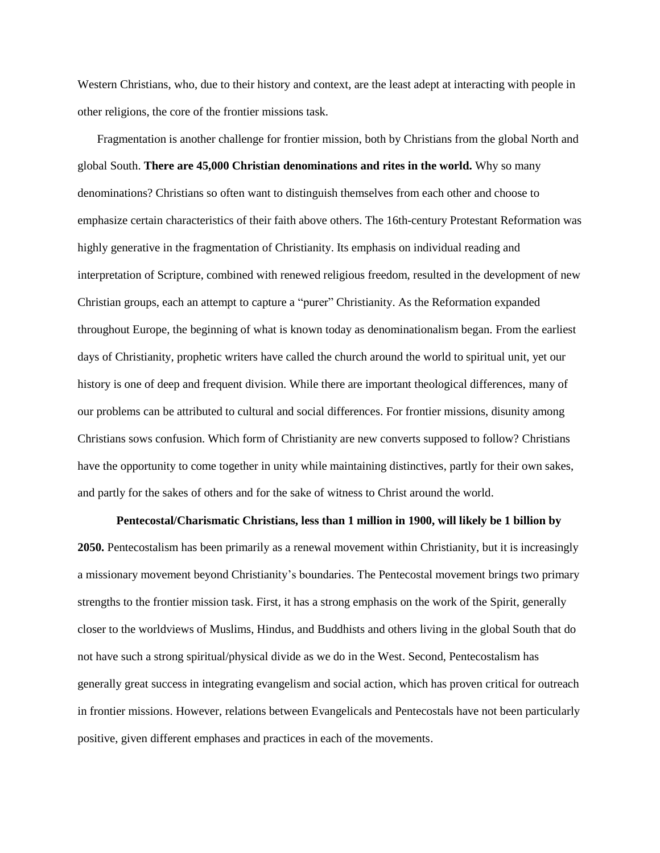Western Christians, who, due to their history and context, are the least adept at interacting with people in other religions, the core of the frontier missions task.

Fragmentation is another challenge for frontier mission, both by Christians from the global North and global South. **There are 45,000 Christian denominations and rites in the world.** Why so many denominations? Christians so often want to distinguish themselves from each other and choose to emphasize certain characteristics of their faith above others. The 16th-century Protestant Reformation was highly generative in the fragmentation of Christianity. Its emphasis on individual reading and interpretation of Scripture, combined with renewed religious freedom, resulted in the development of new Christian groups, each an attempt to capture a "purer" Christianity. As the Reformation expanded throughout Europe, the beginning of what is known today as denominationalism began. From the earliest days of Christianity, prophetic writers have called the church around the world to spiritual unit, yet our history is one of deep and frequent division. While there are important theological differences, many of our problems can be attributed to cultural and social differences. For frontier missions, disunity among Christians sows confusion. Which form of Christianity are new converts supposed to follow? Christians have the opportunity to come together in unity while maintaining distinctives, partly for their own sakes, and partly for the sakes of others and for the sake of witness to Christ around the world.

**Pentecostal/Charismatic Christians, less than 1 million in 1900, will likely be 1 billion by** 

**2050.** Pentecostalism has been primarily as a renewal movement within Christianity, but it is increasingly a missionary movement beyond Christianity's boundaries. The Pentecostal movement brings two primary strengths to the frontier mission task. First, it has a strong emphasis on the work of the Spirit, generally closer to the worldviews of Muslims, Hindus, and Buddhists and others living in the global South that do not have such a strong spiritual/physical divide as we do in the West. Second, Pentecostalism has generally great success in integrating evangelism and social action, which has proven critical for outreach in frontier missions. However, relations between Evangelicals and Pentecostals have not been particularly positive, given different emphases and practices in each of the movements.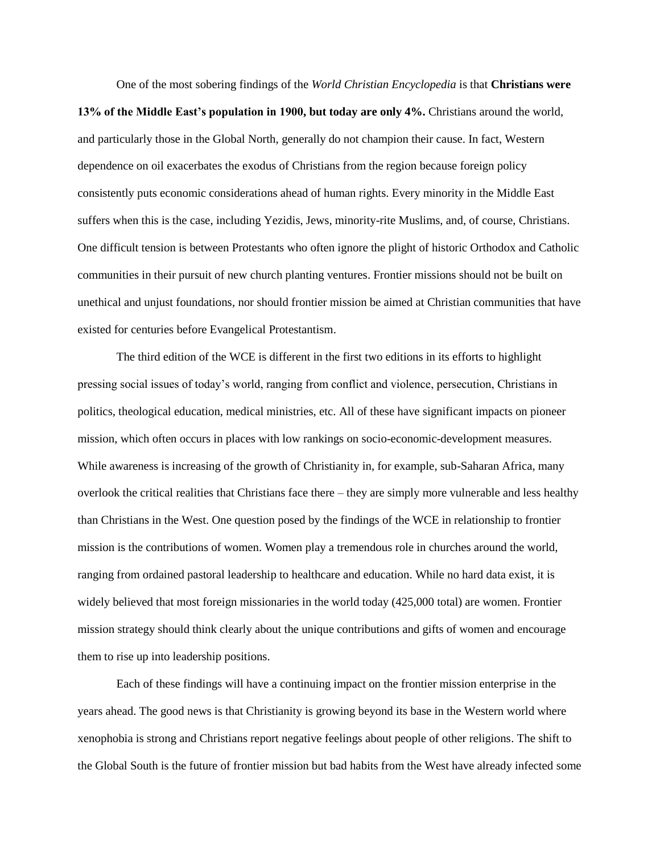One of the most sobering findings of the *World Christian Encyclopedia* is that **Christians were 13% of the Middle East's population in 1900, but today are only 4%.** Christians around the world, and particularly those in the Global North, generally do not champion their cause. In fact, Western dependence on oil exacerbates the exodus of Christians from the region because foreign policy consistently puts economic considerations ahead of human rights. Every minority in the Middle East suffers when this is the case, including Yezidis, Jews, minority-rite Muslims, and, of course, Christians. One difficult tension is between Protestants who often ignore the plight of historic Orthodox and Catholic communities in their pursuit of new church planting ventures. Frontier missions should not be built on unethical and unjust foundations, nor should frontier mission be aimed at Christian communities that have existed for centuries before Evangelical Protestantism.

The third edition of the WCE is different in the first two editions in its efforts to highlight pressing social issues of today's world, ranging from conflict and violence, persecution, Christians in politics, theological education, medical ministries, etc. All of these have significant impacts on pioneer mission, which often occurs in places with low rankings on socio-economic-development measures. While awareness is increasing of the growth of Christianity in, for example, sub-Saharan Africa, many overlook the critical realities that Christians face there – they are simply more vulnerable and less healthy than Christians in the West. One question posed by the findings of the WCE in relationship to frontier mission is the contributions of women. Women play a tremendous role in churches around the world, ranging from ordained pastoral leadership to healthcare and education. While no hard data exist, it is widely believed that most foreign missionaries in the world today (425,000 total) are women. Frontier mission strategy should think clearly about the unique contributions and gifts of women and encourage them to rise up into leadership positions.

Each of these findings will have a continuing impact on the frontier mission enterprise in the years ahead. The good news is that Christianity is growing beyond its base in the Western world where xenophobia is strong and Christians report negative feelings about people of other religions. The shift to the Global South is the future of frontier mission but bad habits from the West have already infected some